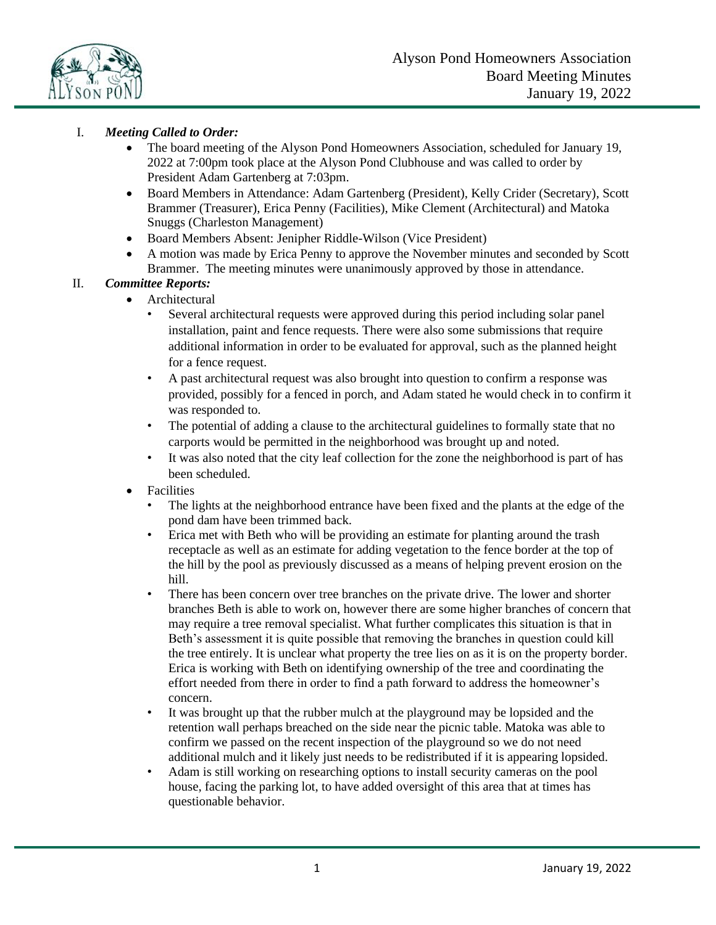

# I. *Meeting Called to Order:*

- The board meeting of the Alyson Pond Homeowners Association, scheduled for January 19, 2022 at 7:00pm took place at the Alyson Pond Clubhouse and was called to order by President Adam Gartenberg at 7:03pm.
- Board Members in Attendance: Adam Gartenberg (President), Kelly Crider (Secretary), Scott Brammer (Treasurer), Erica Penny (Facilities), Mike Clement (Architectural) and Matoka Snuggs (Charleston Management)
- Board Members Absent: Jenipher Riddle-Wilson (Vice President)
- A motion was made by Erica Penny to approve the November minutes and seconded by Scott Brammer. The meeting minutes were unanimously approved by those in attendance.

## II. *Committee Reports:*

- Architectural
	- Several architectural requests were approved during this period including solar panel installation, paint and fence requests. There were also some submissions that require additional information in order to be evaluated for approval, such as the planned height for a fence request.
	- A past architectural request was also brought into question to confirm a response was provided, possibly for a fenced in porch, and Adam stated he would check in to confirm it was responded to.
	- The potential of adding a clause to the architectural guidelines to formally state that no carports would be permitted in the neighborhood was brought up and noted.
	- It was also noted that the city leaf collection for the zone the neighborhood is part of has been scheduled.
- Facilities
	- The lights at the neighborhood entrance have been fixed and the plants at the edge of the pond dam have been trimmed back.
	- Erica met with Beth who will be providing an estimate for planting around the trash receptacle as well as an estimate for adding vegetation to the fence border at the top of the hill by the pool as previously discussed as a means of helping prevent erosion on the hill.
	- There has been concern over tree branches on the private drive. The lower and shorter branches Beth is able to work on, however there are some higher branches of concern that may require a tree removal specialist. What further complicates this situation is that in Beth's assessment it is quite possible that removing the branches in question could kill the tree entirely. It is unclear what property the tree lies on as it is on the property border. Erica is working with Beth on identifying ownership of the tree and coordinating the effort needed from there in order to find a path forward to address the homeowner's concern.
	- It was brought up that the rubber mulch at the playground may be lopsided and the retention wall perhaps breached on the side near the picnic table. Matoka was able to confirm we passed on the recent inspection of the playground so we do not need additional mulch and it likely just needs to be redistributed if it is appearing lopsided.
	- Adam is still working on researching options to install security cameras on the pool house, facing the parking lot, to have added oversight of this area that at times has questionable behavior.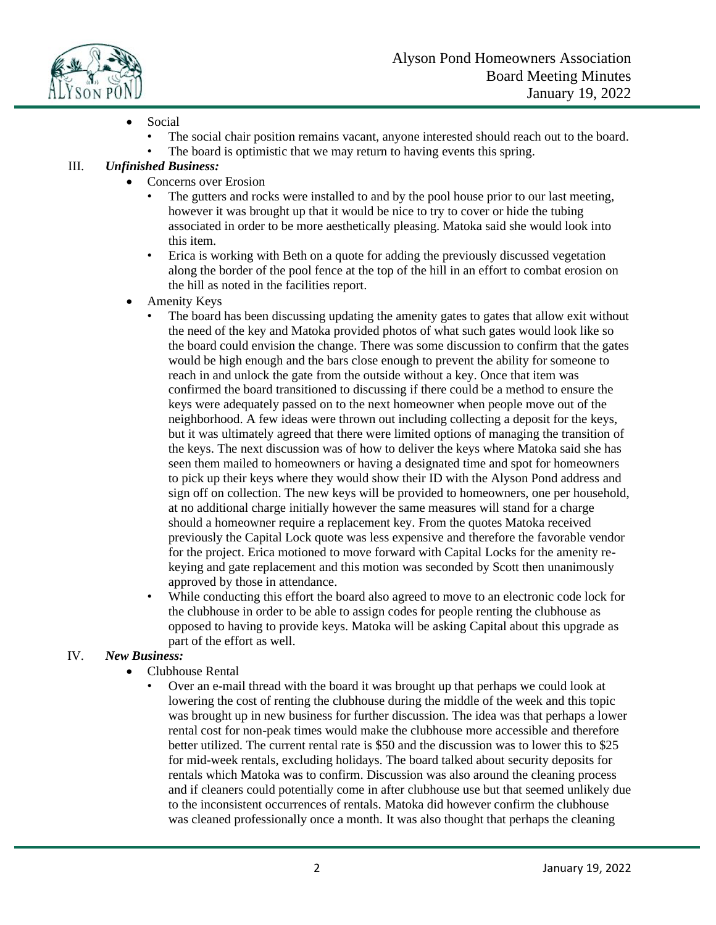

- Social
	- The social chair position remains vacant, anyone interested should reach out to the board.
	- The board is optimistic that we may return to having events this spring.

## III. *Unfinished Business:*

- Concerns over Erosion
	- The gutters and rocks were installed to and by the pool house prior to our last meeting, however it was brought up that it would be nice to try to cover or hide the tubing associated in order to be more aesthetically pleasing. Matoka said she would look into this item.
	- Erica is working with Beth on a quote for adding the previously discussed vegetation along the border of the pool fence at the top of the hill in an effort to combat erosion on the hill as noted in the facilities report.
- Amenity Keys
	- The board has been discussing updating the amenity gates to gates that allow exit without the need of the key and Matoka provided photos of what such gates would look like so the board could envision the change. There was some discussion to confirm that the gates would be high enough and the bars close enough to prevent the ability for someone to reach in and unlock the gate from the outside without a key. Once that item was confirmed the board transitioned to discussing if there could be a method to ensure the keys were adequately passed on to the next homeowner when people move out of the neighborhood. A few ideas were thrown out including collecting a deposit for the keys, but it was ultimately agreed that there were limited options of managing the transition of the keys. The next discussion was of how to deliver the keys where Matoka said she has seen them mailed to homeowners or having a designated time and spot for homeowners to pick up their keys where they would show their ID with the Alyson Pond address and sign off on collection. The new keys will be provided to homeowners, one per household, at no additional charge initially however the same measures will stand for a charge should a homeowner require a replacement key. From the quotes Matoka received previously the Capital Lock quote was less expensive and therefore the favorable vendor for the project. Erica motioned to move forward with Capital Locks for the amenity rekeying and gate replacement and this motion was seconded by Scott then unanimously approved by those in attendance.
	- While conducting this effort the board also agreed to move to an electronic code lock for the clubhouse in order to be able to assign codes for people renting the clubhouse as opposed to having to provide keys. Matoka will be asking Capital about this upgrade as part of the effort as well.

### IV. *New Business:*

- Clubhouse Rental
	- Over an e-mail thread with the board it was brought up that perhaps we could look at lowering the cost of renting the clubhouse during the middle of the week and this topic was brought up in new business for further discussion. The idea was that perhaps a lower rental cost for non-peak times would make the clubhouse more accessible and therefore better utilized. The current rental rate is \$50 and the discussion was to lower this to \$25 for mid-week rentals, excluding holidays. The board talked about security deposits for rentals which Matoka was to confirm. Discussion was also around the cleaning process and if cleaners could potentially come in after clubhouse use but that seemed unlikely due to the inconsistent occurrences of rentals. Matoka did however confirm the clubhouse was cleaned professionally once a month. It was also thought that perhaps the cleaning